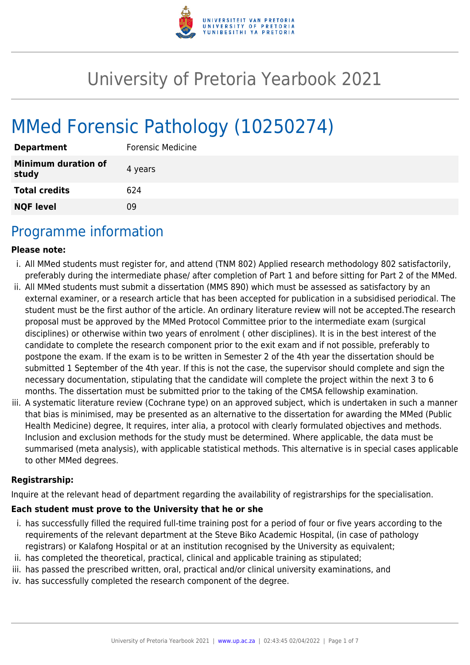

# University of Pretoria Yearbook 2021

# MMed Forensic Pathology (10250274)

| <b>Department</b>                   | Forensic Medicine |
|-------------------------------------|-------------------|
| <b>Minimum duration of</b><br>study | 4 years           |
| <b>Total credits</b>                | 624               |
| <b>NQF level</b>                    | ΩÓ                |

### Programme information

#### **Please note:**

- i. All MMed students must register for, and attend (TNM 802) Applied research methodology 802 satisfactorily, preferably during the intermediate phase/ after completion of Part 1 and before sitting for Part 2 of the MMed.
- ii. All MMed students must submit a dissertation (MMS 890) which must be assessed as satisfactory by an external examiner, or a research article that has been accepted for publication in a subsidised periodical. The student must be the first author of the article. An ordinary literature review will not be accepted.The research proposal must be approved by the MMed Protocol Committee prior to the intermediate exam (surgical disciplines) or otherwise within two years of enrolment ( other disciplines). It is in the best interest of the candidate to complete the research component prior to the exit exam and if not possible, preferably to postpone the exam. If the exam is to be written in Semester 2 of the 4th year the dissertation should be submitted 1 September of the 4th year. If this is not the case, the supervisor should complete and sign the necessary documentation, stipulating that the candidate will complete the project within the next 3 to 6 months. The dissertation must be submitted prior to the taking of the CMSA fellowship examination.
- iii. A systematic literature review (Cochrane type) on an approved subject, which is undertaken in such a manner that bias is minimised, may be presented as an alternative to the dissertation for awarding the MMed (Public Health Medicine) degree, It requires, inter alia, a protocol with clearly formulated objectives and methods. Inclusion and exclusion methods for the study must be determined. Where applicable, the data must be summarised (meta analysis), with applicable statistical methods. This alternative is in special cases applicable to other MMed degrees.

#### **Registrarship:**

Inquire at the relevant head of department regarding the availability of registrarships for the specialisation.

#### **Each student must prove to the University that he or she**

- i. has successfully filled the required full-time training post for a period of four or five years according to the requirements of the relevant department at the Steve Biko Academic Hospital, (in case of pathology registrars) or Kalafong Hospital or at an institution recognised by the University as equivalent;
- ii. has completed the theoretical, practical, clinical and applicable training as stipulated;
- iii. has passed the prescribed written, oral, practical and/or clinical university examinations, and
- iv. has successfully completed the research component of the degree.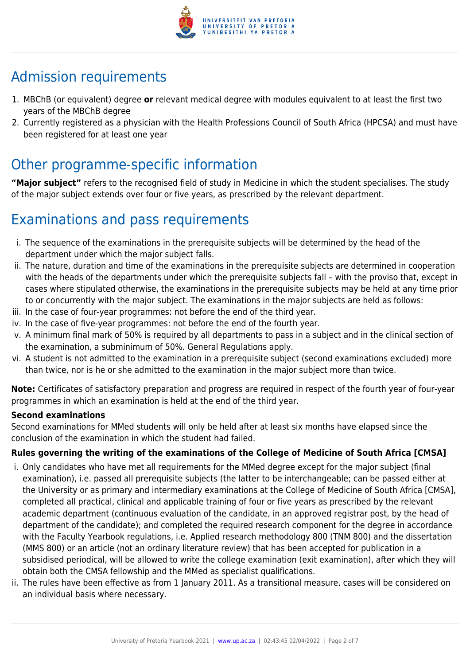

# Admission requirements

- 1. MBChB (or equivalent) degree **or** relevant medical degree with modules equivalent to at least the first two years of the MBChB degree
- 2. Currently registered as a physician with the Health Professions Council of South Africa (HPCSA) and must have been registered for at least one year

# Other programme-specific information

**"Major subject"** refers to the recognised field of study in Medicine in which the student specialises. The study of the major subject extends over four or five years, as prescribed by the relevant department.

# Examinations and pass requirements

- i. The sequence of the examinations in the prerequisite subjects will be determined by the head of the department under which the major subject falls.
- ii. The nature, duration and time of the examinations in the prerequisite subjects are determined in cooperation with the heads of the departments under which the prerequisite subjects fall – with the proviso that, except in cases where stipulated otherwise, the examinations in the prerequisite subjects may be held at any time prior to or concurrently with the major subject. The examinations in the major subjects are held as follows:
- iii. In the case of four-year programmes: not before the end of the third year.
- iv. In the case of five-year programmes: not before the end of the fourth year.
- v. A minimum final mark of 50% is required by all departments to pass in a subject and in the clinical section of the examination, a subminimum of 50%. General Regulations apply.
- vi. A student is not admitted to the examination in a prerequisite subject (second examinations excluded) more than twice, nor is he or she admitted to the examination in the major subject more than twice.

**Note:** Certificates of satisfactory preparation and progress are required in respect of the fourth year of four-year programmes in which an examination is held at the end of the third year.

#### **Second examinations**

Second examinations for MMed students will only be held after at least six months have elapsed since the conclusion of the examination in which the student had failed.

#### **Rules governing the writing of the examinations of the College of Medicine of South Africa [CMSA]**

- i. Only candidates who have met all requirements for the MMed degree except for the major subject (final examination), i.e. passed all prerequisite subjects (the latter to be interchangeable; can be passed either at the University or as primary and intermediary examinations at the College of Medicine of South Africa [CMSA], completed all practical, clinical and applicable training of four or five years as prescribed by the relevant academic department (continuous evaluation of the candidate, in an approved registrar post, by the head of department of the candidate); and completed the required research component for the degree in accordance with the Faculty Yearbook regulations, i.e. Applied research methodology 800 (TNM 800) and the dissertation (MMS 800) or an article (not an ordinary literature review) that has been accepted for publication in a subsidised periodical, will be allowed to write the college examination (exit examination), after which they will obtain both the CMSA fellowship and the MMed as specialist qualifications.
- ii. The rules have been effective as from 1 January 2011. As a transitional measure, cases will be considered on an individual basis where necessary.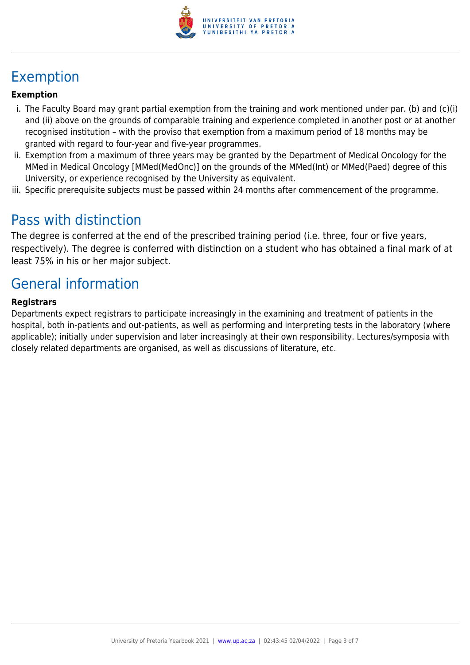

# Exemption

#### **Exemption**

- i. The Faculty Board may grant partial exemption from the training and work mentioned under par. (b) and (c)(i) and (ii) above on the grounds of comparable training and experience completed in another post or at another recognised institution – with the proviso that exemption from a maximum period of 18 months may be granted with regard to four-year and five-year programmes.
- ii. Exemption from a maximum of three years may be granted by the Department of Medical Oncology for the MMed in Medical Oncology [MMed(MedOnc)] on the grounds of the MMed(Int) or MMed(Paed) degree of this University, or experience recognised by the University as equivalent.
- iii. Specific prerequisite subjects must be passed within 24 months after commencement of the programme.

### Pass with distinction

The degree is conferred at the end of the prescribed training period (i.e. three, four or five years, respectively). The degree is conferred with distinction on a student who has obtained a final mark of at least 75% in his or her major subject.

# General information

#### **Registrars**

Departments expect registrars to participate increasingly in the examining and treatment of patients in the hospital, both in-patients and out-patients, as well as performing and interpreting tests in the laboratory (where applicable); initially under supervision and later increasingly at their own responsibility. Lectures/symposia with closely related departments are organised, as well as discussions of literature, etc.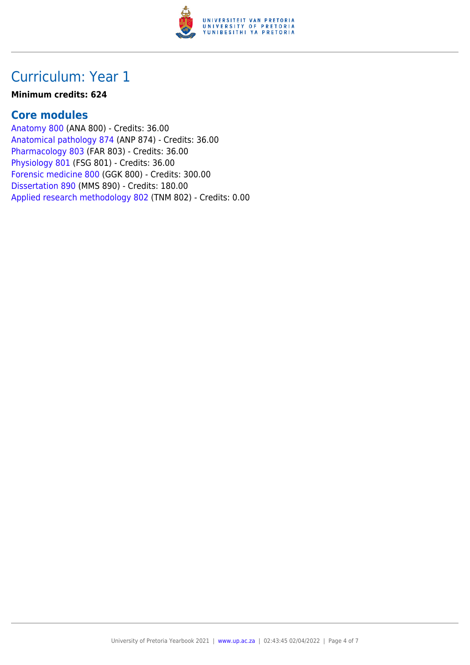

### Curriculum: Year 1

#### **Minimum credits: 624**

#### **Core modules**

[Anatomy 800](https://www.up.ac.za/yearbooks/2021/modules/view/ANA 800) (ANA 800) - Credits: 36.00 [Anatomical pathology 874](https://www.up.ac.za/yearbooks/2021/modules/view/ANP 874) (ANP 874) - Credits: 36.00 [Pharmacology 803](https://www.up.ac.za/yearbooks/2021/modules/view/FAR 803) (FAR 803) - Credits: 36.00 [Physiology 801](https://www.up.ac.za/yearbooks/2021/modules/view/FSG 801) (FSG 801) - Credits: 36.00 [Forensic medicine 800](https://www.up.ac.za/yearbooks/2021/modules/view/GGK 800) (GGK 800) - Credits: 300.00 [Dissertation 890](https://www.up.ac.za/yearbooks/2021/modules/view/MMS 890) (MMS 890) - Credits: 180.00 [Applied research methodology 802](https://www.up.ac.za/yearbooks/2021/modules/view/TNM 802) (TNM 802) - Credits: 0.00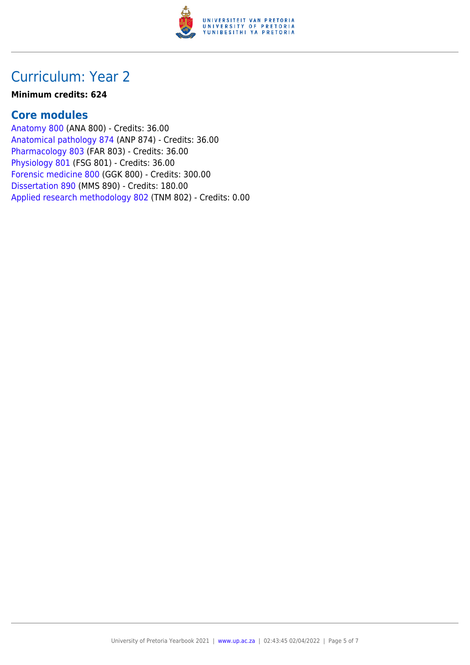

## Curriculum: Year 2

#### **Minimum credits: 624**

#### **Core modules**

[Anatomy 800](https://www.up.ac.za/yearbooks/2021/modules/view/ANA 800) (ANA 800) - Credits: 36.00 [Anatomical pathology 874](https://www.up.ac.za/yearbooks/2021/modules/view/ANP 874) (ANP 874) - Credits: 36.00 [Pharmacology 803](https://www.up.ac.za/yearbooks/2021/modules/view/FAR 803) (FAR 803) - Credits: 36.00 [Physiology 801](https://www.up.ac.za/yearbooks/2021/modules/view/FSG 801) (FSG 801) - Credits: 36.00 [Forensic medicine 800](https://www.up.ac.za/yearbooks/2021/modules/view/GGK 800) (GGK 800) - Credits: 300.00 [Dissertation 890](https://www.up.ac.za/yearbooks/2021/modules/view/MMS 890) (MMS 890) - Credits: 180.00 [Applied research methodology 802](https://www.up.ac.za/yearbooks/2021/modules/view/TNM 802) (TNM 802) - Credits: 0.00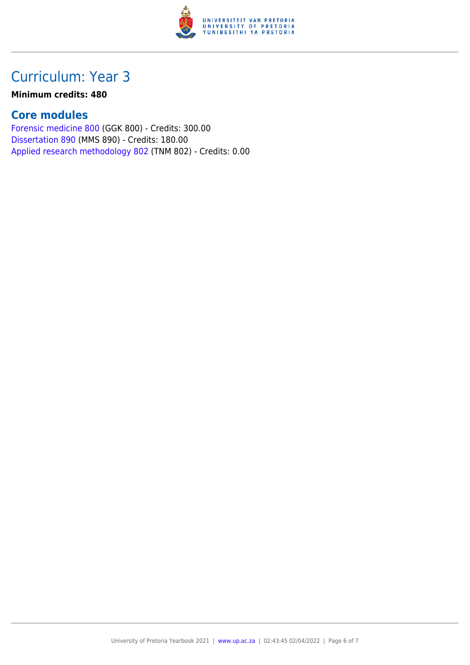

# Curriculum: Year 3

#### **Minimum credits: 480**

#### **Core modules**

[Forensic medicine 800](https://www.up.ac.za/yearbooks/2021/modules/view/GGK 800) (GGK 800) - Credits: 300.00 [Dissertation 890](https://www.up.ac.za/yearbooks/2021/modules/view/MMS 890) (MMS 890) - Credits: 180.00 [Applied research methodology 802](https://www.up.ac.za/yearbooks/2021/modules/view/TNM 802) (TNM 802) - Credits: 0.00